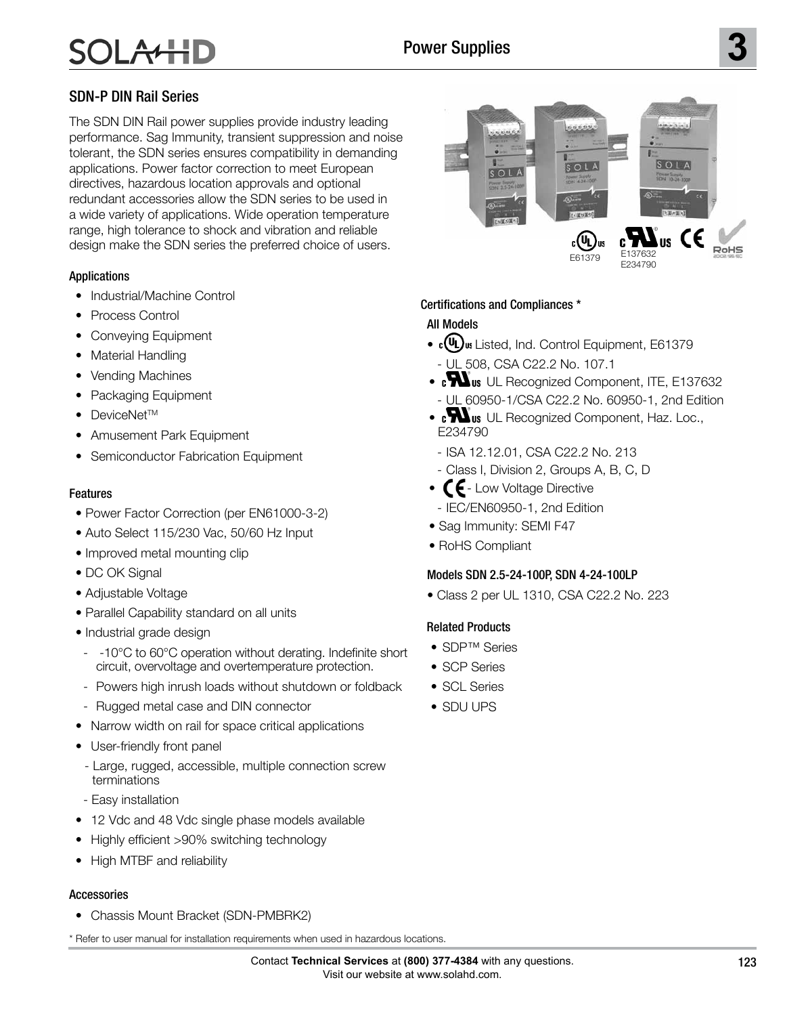# SDN-P DIN Rail Series

The SDN DIN Rail power supplies provide industry leading performance. Sag Immunity, transient suppression and noise tolerant, the SDN series ensures compatibility in demanding applications. Power factor correction to meet European directives, hazardous location approvals and optional redundant accessories allow the SDN series to be used in a wide variety of applications. Wide operation temperature range, high tolerance to shock and vibration and reliable design make the SDN series the preferred choice of users.

### Applications

- Industrial/Machine Control
- Process Control
- Conveying Equipment
- Material Handling
- Vending Machines
- Packaging Equipment
- DeviceNet<sup>TM</sup>
- Amusement Park Equipment
- Semiconductor Fabrication Equipment

### Features

- Power Factor Correction (per EN61000-3-2)
- Auto Select 115/230 Vac, 50/60 Hz Input
- Improved metal mounting clip
- DC OK Signal
- Adjustable Voltage
- Parallel Capability standard on all units
- Industrial grade design
- -10°C to 60°C operation without derating. Indefinite short circuit, overvoltage and overtemperature protection.
- Powers high inrush loads without shutdown or foldback
- Rugged metal case and DIN connector
- Narrow width on rail for space critical applications
- User-friendly front panel
- Large, rugged, accessible, multiple connection screw terminations
- Easy installation
- 12 Vdc and 48 Vdc single phase models available
- Highly efficient >90% switching technology
- High MTBF and reliability

# **Accessories**

• Chassis Mount Bracket (SDN-PMBRK2)

\* Refer to user manual for installation requirements when used in hazardous locations.



# Certifications and Compliances \*

# All Models

- c(UL) us Listed, Ind. Control Equipment, E61379 - UL 508, CSA C22.2 No. 107.1
- **M**us UL Recognized Component, ITE, E137632 - UL 60950-1/CSA C22.2 No. 60950-1, 2nd Edition
- **M**us UL Recognized Component, Haz. Loc., E234790
	- **No. 234-M90** ISA 12.12.01, CSA C22.2 No. 213
- Class I, Division 2, Groups A, B, C, D
- $\mathsf{C}\mathsf{E}$  Low Voltage Directive - IEC/EN60950-1, 2nd Edition
- Sag Immunity: SEMI F47
- RoHS Compliant

### Models SDN 2.5-24-100P, SDN 4-24-100LP

• Class 2 per UL 1310, CSA C22.2 No. 223

### Related Products

- SDP™ Series
- **SCP Series**
- SCL Series
- SDU UPS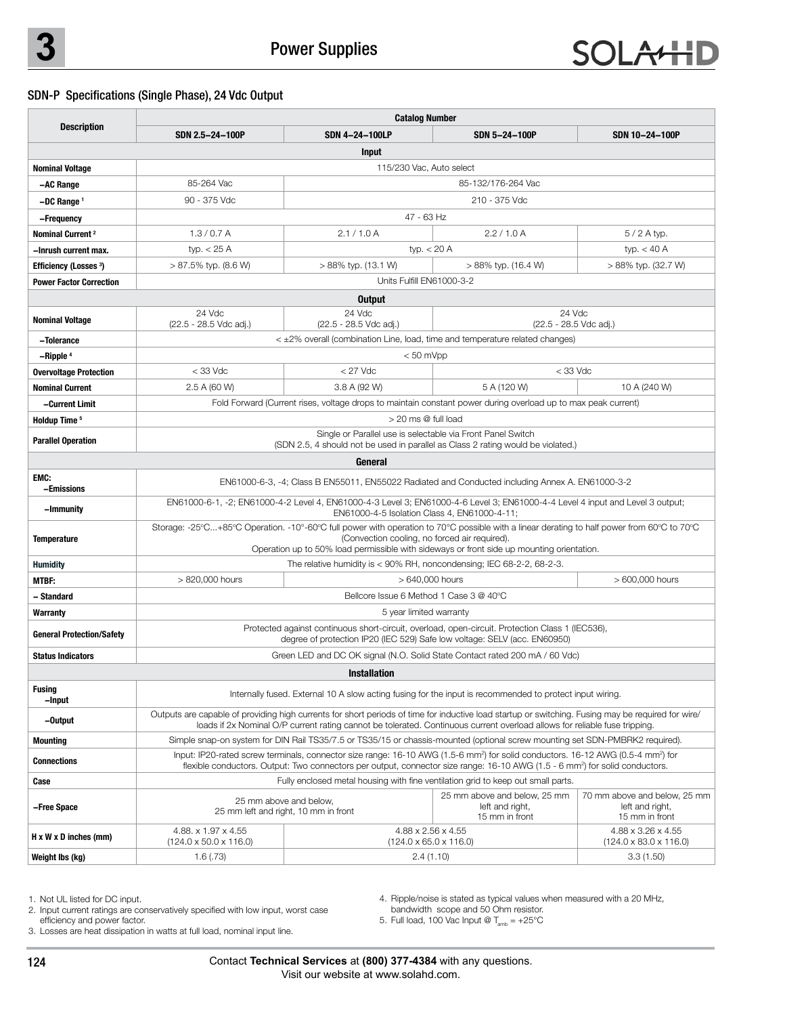### SDN-P Specifications (Single Phase), 24 Vdc Output

|                                   | <b>Catalog Number</b>                                                                                                                                                                                                                                                                                |                                                                                                                                     |                     |                                                                   |  |  |
|-----------------------------------|------------------------------------------------------------------------------------------------------------------------------------------------------------------------------------------------------------------------------------------------------------------------------------------------------|-------------------------------------------------------------------------------------------------------------------------------------|---------------------|-------------------------------------------------------------------|--|--|
| <b>Description</b>                | SDN 2.5-24-100P                                                                                                                                                                                                                                                                                      | <b>SDN 4-24-100LP</b>                                                                                                               | SDN 5-24-100P       | SDN 10-24-100P                                                    |  |  |
|                                   |                                                                                                                                                                                                                                                                                                      | Input                                                                                                                               |                     |                                                                   |  |  |
| <b>Nominal Voltage</b>            | 115/230 Vac, Auto select                                                                                                                                                                                                                                                                             |                                                                                                                                     |                     |                                                                   |  |  |
| -AC Range                         | 85-264 Vac                                                                                                                                                                                                                                                                                           |                                                                                                                                     | 85-132/176-264 Vac  |                                                                   |  |  |
| $-DC$ Range $1$                   | 90 - 375 Vdc                                                                                                                                                                                                                                                                                         | 210 - 375 Vdc                                                                                                                       |                     |                                                                   |  |  |
| –Frequency                        |                                                                                                                                                                                                                                                                                                      | 47 - 63 Hz                                                                                                                          |                     |                                                                   |  |  |
| Nominal Current <sup>2</sup>      | 1.3/0.7A                                                                                                                                                                                                                                                                                             | 2.1/1.0A                                                                                                                            | 2.2/1.0A            | $5/2$ A typ.                                                      |  |  |
| -Inrush current max.              | typ. $<$ 25 A                                                                                                                                                                                                                                                                                        | typ. $<$ 20 A                                                                                                                       |                     | typ. $<$ 40 A                                                     |  |  |
| <b>Efficiency (Losses 3)</b>      | $> 87.5\%$ typ. (8.6 W)                                                                                                                                                                                                                                                                              | > 88% typ. (13.1 W)                                                                                                                 | > 88% typ. (16.4 W) | > 88% typ. (32.7 W)                                               |  |  |
| <b>Power Factor Correction</b>    | Units Fulfill FN61000-3-2                                                                                                                                                                                                                                                                            |                                                                                                                                     |                     |                                                                   |  |  |
|                                   |                                                                                                                                                                                                                                                                                                      | <b>Output</b>                                                                                                                       |                     |                                                                   |  |  |
| <b>Nominal Voltage</b>            | 24 Vdc<br>(22.5 - 28.5 Vdc adj.)                                                                                                                                                                                                                                                                     | 24 Vdc<br>24 Vdc<br>(22.5 - 28.5 Vdc adj.)<br>(22.5 - 28.5 Vdc adj.)                                                                |                     |                                                                   |  |  |
| -Tolerance                        |                                                                                                                                                                                                                                                                                                      | $\leq$ $\pm$ 2% overall (combination Line, load, time and temperature related changes)                                              |                     |                                                                   |  |  |
| -Ripple <sup>4</sup>              | $< 50$ mVpp                                                                                                                                                                                                                                                                                          |                                                                                                                                     |                     |                                                                   |  |  |
| <b>Overvoltage Protection</b>     | $<$ 33 Vdc                                                                                                                                                                                                                                                                                           | $<$ 27 Vdc                                                                                                                          | $<$ 33 Vdc          |                                                                   |  |  |
| <b>Nominal Current</b>            | 2.5 A (60 W)                                                                                                                                                                                                                                                                                         | 3.8 A (92 W)                                                                                                                        | 5 A (120 W)         | 10 A (240 W)                                                      |  |  |
| -Current Limit                    | Fold Forward (Current rises, voltage drops to maintain constant power during overload up to max peak current)                                                                                                                                                                                        |                                                                                                                                     |                     |                                                                   |  |  |
| Holdup Time <sup>5</sup>          | $>$ 20 ms $@$ full load                                                                                                                                                                                                                                                                              |                                                                                                                                     |                     |                                                                   |  |  |
| <b>Parallel Operation</b>         | Single or Parallel use is selectable via Front Panel Switch<br>(SDN 2.5, 4 should not be used in parallel as Class 2 rating would be violated.)                                                                                                                                                      |                                                                                                                                     |                     |                                                                   |  |  |
|                                   |                                                                                                                                                                                                                                                                                                      | General                                                                                                                             |                     |                                                                   |  |  |
| EMC:<br>-Emissions                | EN61000-6-3, -4; Class B EN55011, EN55022 Radiated and Conducted including Annex A. EN61000-3-2                                                                                                                                                                                                      |                                                                                                                                     |                     |                                                                   |  |  |
| -Immunity                         | EN61000-6-1, -2; EN61000-4-2 Level 4, EN61000-4-3 Level 3; EN61000-4-6 Level 3; EN61000-4-4 Level 4 input and Level 3 output;<br>EN61000-4-5 Isolation Class 4, EN61000-4-11;                                                                                                                        |                                                                                                                                     |                     |                                                                   |  |  |
| Temperature                       | Storage: -25°C+85°C Operation. -10°-60°C full power with operation to 70°C possible with a linear derating to half power from 60°C to 70°C<br>(Convection cooling, no forced air required).<br>Operation up to 50% load permissible with sideways or front side up mounting orientation.             |                                                                                                                                     |                     |                                                                   |  |  |
| <b>Humidity</b>                   |                                                                                                                                                                                                                                                                                                      | The relative humidity is $<$ 90% RH, noncondensing; IEC 68-2-2, 68-2-3.                                                             |                     |                                                                   |  |  |
| <b>MTBF:</b>                      | > 820,000 hours                                                                                                                                                                                                                                                                                      | > 640,000 hours                                                                                                                     |                     | > 600,000 hours                                                   |  |  |
| – Standard                        | Bellcore Issue 6 Method 1 Case 3 @ 40°C                                                                                                                                                                                                                                                              |                                                                                                                                     |                     |                                                                   |  |  |
| Warranty                          | 5 year limited warranty                                                                                                                                                                                                                                                                              |                                                                                                                                     |                     |                                                                   |  |  |
| <b>General Protection/Safety</b>  | Protected against continuous short-circuit, overload, open-circuit. Protection Class 1 (IEC536),<br>degree of protection IP20 (IEC 529) Safe low voltage: SELV (acc. EN60950)                                                                                                                        |                                                                                                                                     |                     |                                                                   |  |  |
| <b>Status Indicators</b>          | Green LED and DC OK signal (N.O. Solid State Contact rated 200 mA / 60 Vdc)                                                                                                                                                                                                                          |                                                                                                                                     |                     |                                                                   |  |  |
|                                   |                                                                                                                                                                                                                                                                                                      | <b>Installation</b>                                                                                                                 |                     |                                                                   |  |  |
| Fusing<br>-Input                  | Internally fused. External 10 A slow acting fusing for the input is recommended to protect input wiring.                                                                                                                                                                                             |                                                                                                                                     |                     |                                                                   |  |  |
| -Output                           | Outputs are capable of providing high currents for short periods of time for inductive load startup or switching. Fusing may be required for wire/<br>loads if 2x Nominal O/P current rating cannot be tolerated. Continuous current overload allows for reliable fuse tripping.                     |                                                                                                                                     |                     |                                                                   |  |  |
| <b>Mounting</b>                   | Simple snap-on system for DIN Rail TS35/7.5 or TS35/15 or chassis-mounted (optional screw mounting set SDN-PMBRK2 required).                                                                                                                                                                         |                                                                                                                                     |                     |                                                                   |  |  |
| <b>Connections</b>                | Input: IP20-rated screw terminals, connector size range: 16-10 AWG (1.5-6 mm <sup>2</sup> ) for solid conductors. 16-12 AWG (0.5-4 mm <sup>2</sup> ) for<br>flexible conductors. Output: Two connectors per output, connector size range: 16-10 AWG (1.5 - 6 mm <sup>2</sup> ) for solid conductors. |                                                                                                                                     |                     |                                                                   |  |  |
| Case                              | Fully enclosed metal housing with fine ventilation grid to keep out small parts.                                                                                                                                                                                                                     |                                                                                                                                     |                     |                                                                   |  |  |
| -Free Space                       |                                                                                                                                                                                                                                                                                                      | 25 mm above and below, 25 mm<br>25 mm above and below,<br>left and right,<br>25 mm left and right, 10 mm in front<br>15 mm in front |                     | 70 mm above and below, 25 mm<br>left and right,<br>15 mm in front |  |  |
| $H \times W \times D$ inches (mm) | 4.88. x 1.97 x 4.55<br>$(124.0 \times 50.0 \times 116.0)$                                                                                                                                                                                                                                            | 4.88 x 2.56 x 4.55<br>4.88 x 3.26 x 4.55<br>$(124.0 \times 65.0 \times 116.0)$<br>$(124.0 \times 83.0 \times 116.0)$                |                     |                                                                   |  |  |
| Weight Ibs (kg)                   | 1.6(0.73)                                                                                                                                                                                                                                                                                            | 2.4(1.10)                                                                                                                           |                     | 3.3(1.50)                                                         |  |  |

1. Not UL listed for DC input.

4. Ripple/noise is stated as typical values when measured with a 20 MHz,

2. Input current ratings are conservatively specified with low input, worst case

bandwidth scope and 50 Ohm resistor. 5. Full load, 100 Vac Input @  $T_{\textrm{\tiny amb}}$  = +25°C

efficiency and power factor. 3. Losses are heat dissipation in watts at full load, nominal input line.

> Contact **Technical Services** at **(800) 377-4384** with any questions. Visit our website at www.solahd.com.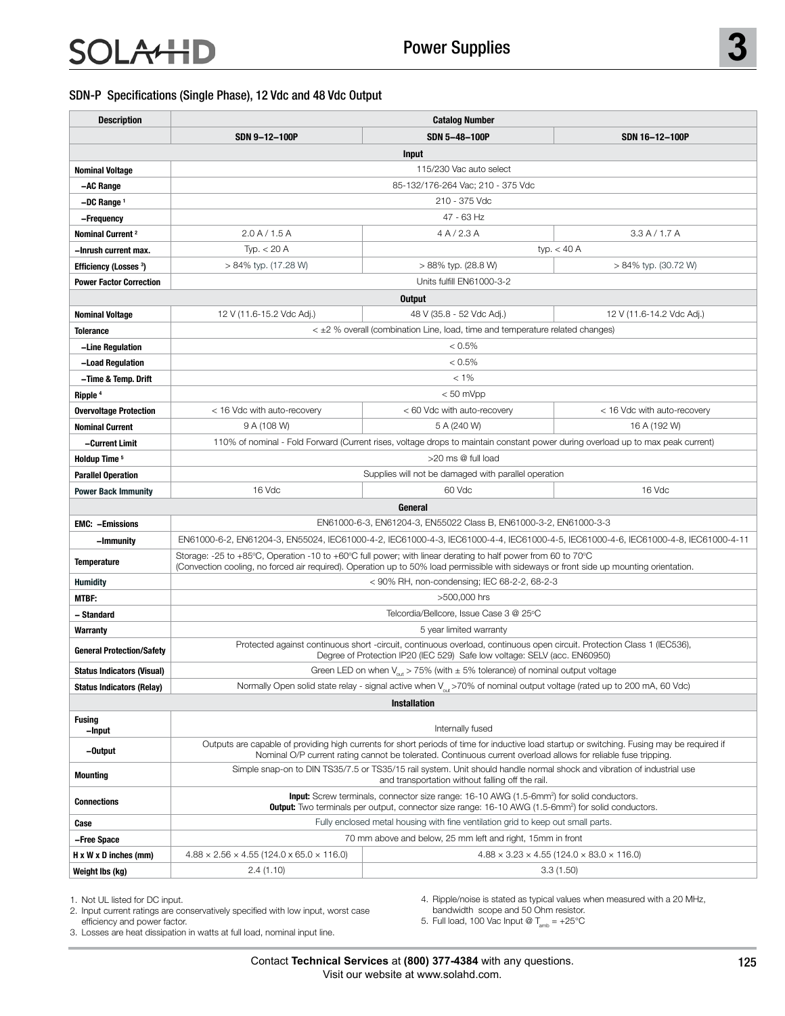#### SDN-P Specifications (Single Phase), 12 Vdc and 48 Vdc Output

| <b>Description</b>                | <b>Catalog Number</b>                                                                                                                                                                                                                                   |                                   |                             |  |  |  |
|-----------------------------------|---------------------------------------------------------------------------------------------------------------------------------------------------------------------------------------------------------------------------------------------------------|-----------------------------------|-----------------------------|--|--|--|
|                                   | SDN 9-12-100P                                                                                                                                                                                                                                           | SDN 5-48-100P                     | SDN 16-12-100P              |  |  |  |
|                                   |                                                                                                                                                                                                                                                         | <b>Input</b>                      |                             |  |  |  |
| <b>Nominal Voltage</b>            |                                                                                                                                                                                                                                                         | 115/230 Vac auto select           |                             |  |  |  |
| -AC Range                         |                                                                                                                                                                                                                                                         | 85-132/176-264 Vac; 210 - 375 Vdc |                             |  |  |  |
| -DC Range 1                       |                                                                                                                                                                                                                                                         | 210 - 375 Vdc                     |                             |  |  |  |
| -Frequency                        |                                                                                                                                                                                                                                                         | 47 - 63 Hz                        |                             |  |  |  |
| Nominal Current <sup>2</sup>      | 2.0 A / 1.5 A                                                                                                                                                                                                                                           | 4A/2.3A                           | 3.3 A / 1.7 A               |  |  |  |
| –Inrush current max.              | Typ. $<$ 20 A                                                                                                                                                                                                                                           |                                   | typ. $<$ 40 A               |  |  |  |
| <b>Efficiency (Losses 3)</b>      | > 84% typ. (17.28 W)                                                                                                                                                                                                                                    | > 88% typ. (28.8 W)               | > 84% typ. (30.72 W)        |  |  |  |
| <b>Power Factor Correction</b>    |                                                                                                                                                                                                                                                         | Units fulfill EN61000-3-2         |                             |  |  |  |
|                                   |                                                                                                                                                                                                                                                         | <b>Output</b>                     |                             |  |  |  |
| <b>Nominal Voltage</b>            | 12 V (11.6-15.2 Vdc Adj.)                                                                                                                                                                                                                               | 48 V (35.8 - 52 Vdc Adj.)         | 12 V (11.6-14.2 Vdc Adj.)   |  |  |  |
| <b>Tolerance</b>                  | $\leq$ $\pm$ 2 % overall (combination Line, load, time and temperature related changes)                                                                                                                                                                 |                                   |                             |  |  |  |
| -Line Regulation                  | $< 0.5\%$                                                                                                                                                                                                                                               |                                   |                             |  |  |  |
| -Load Regulation                  | < 0.5%                                                                                                                                                                                                                                                  |                                   |                             |  |  |  |
| -Time & Temp. Drift               | $< 1\%$                                                                                                                                                                                                                                                 |                                   |                             |  |  |  |
| Ripple <sup>4</sup>               | $< 50$ mVpp                                                                                                                                                                                                                                             |                                   |                             |  |  |  |
| <b>Overvoltage Protection</b>     | < 16 Vdc with auto-recovery                                                                                                                                                                                                                             | < 60 Vdc with auto-recovery       | < 16 Vdc with auto-recovery |  |  |  |
| <b>Nominal Current</b>            | 9 A (108 W)                                                                                                                                                                                                                                             | 5 A (240 W)                       | 16 A (192 W)                |  |  |  |
| -Current Limit                    | 110% of nominal - Fold Forward (Current rises, voltage drops to maintain constant power during overload up to max peak current)                                                                                                                         |                                   |                             |  |  |  |
| Holdup Time <sup>5</sup>          | >20 ms @ full load                                                                                                                                                                                                                                      |                                   |                             |  |  |  |
| <b>Parallel Operation</b>         | Supplies will not be damaged with parallel operation                                                                                                                                                                                                    |                                   |                             |  |  |  |
| <b>Power Back Immunity</b>        | 16 Vdc                                                                                                                                                                                                                                                  | 60 Vdc                            | 16 Vdc                      |  |  |  |
|                                   |                                                                                                                                                                                                                                                         | General                           |                             |  |  |  |
| <b>EMC: -Emissions</b>            | EN61000-6-3, EN61204-3, EN55022 Class B, EN61000-3-2, EN61000-3-3                                                                                                                                                                                       |                                   |                             |  |  |  |
| -Immunity                         | EN61000-6-2, EN61204-3, EN55024, IEC61000-4-2, IEC61000-4-3, IEC61000-4-4, IEC61000-4-5, IEC61000-4-6, IEC61000-4-8, IEC61000-4-11                                                                                                                      |                                   |                             |  |  |  |
| <b>Temperature</b>                | Storage: -25 to +85°C, Operation -10 to +60°C full power; with linear derating to half power from 60 to 70°C<br>(Convection cooling, no forced air required). Operation up to 50% load permissible with sideways or front side up mounting orientation. |                                   |                             |  |  |  |
| <b>Humidity</b>                   | < 90% RH, non-condensing; IEC 68-2-2, 68-2-3                                                                                                                                                                                                            |                                   |                             |  |  |  |
| MTBF:                             | >500,000 hrs                                                                                                                                                                                                                                            |                                   |                             |  |  |  |
| - Standard                        | Telcordia/Bellcore, Issue Case 3 @ 25°C                                                                                                                                                                                                                 |                                   |                             |  |  |  |
| Warranty                          | 5 year limited warranty                                                                                                                                                                                                                                 |                                   |                             |  |  |  |
| <b>General Protection/Safety</b>  | Protected against continuous short -circuit, continuous overload, continuous open circuit. Protection Class 1 (IEC536),<br>Degree of Protection IP20 (IEC 529) Safe low voltage: SELV (acc. EN60950)                                                    |                                   |                             |  |  |  |
| <b>Status Indicators (Visual)</b> | Green LED on when $V_{\text{out}}$ > 75% (with $\pm$ 5% tolerance) of nominal output voltage                                                                                                                                                            |                                   |                             |  |  |  |
| <b>Status Indicators (Relay)</b>  | Normally Open solid state relay - signal active when V <sub>out</sub> >70% of nominal output voltage (rated up to 200 mA, 60 Vdc)                                                                                                                       |                                   |                             |  |  |  |
| <b>Installation</b>               |                                                                                                                                                                                                                                                         |                                   |                             |  |  |  |
| <b>Fusing</b>                     | Internally fused                                                                                                                                                                                                                                        |                                   |                             |  |  |  |
| -Input<br>-Output                 | Outputs are capable of providing high currents for short periods of time for inductive load startup or switching. Fusing may be required if                                                                                                             |                                   |                             |  |  |  |
|                                   | Nominal O/P current rating cannot be tolerated. Continuous current overload allows for reliable fuse tripping.<br>Simple snap-on to DIN TS35/7.5 or TS35/15 rail system. Unit should handle normal shock and vibration of industrial use                |                                   |                             |  |  |  |
| <b>Mounting</b>                   | and transportation without falling off the rail.                                                                                                                                                                                                        |                                   |                             |  |  |  |
| <b>Connections</b>                | <b>Input:</b> Screw terminals, connector size range: 16-10 AWG (1.5-6mm <sup>2</sup> ) for solid conductors.<br><b>Output:</b> Two terminals per output, connector size range: 16-10 AWG (1.5-6mm <sup>2</sup> ) for solid conductors.                  |                                   |                             |  |  |  |
| Case                              | Fully enclosed metal housing with fine ventilation grid to keep out small parts.                                                                                                                                                                        |                                   |                             |  |  |  |
| -Free Space                       | 70 mm above and below, 25 mm left and right, 15mm in front                                                                                                                                                                                              |                                   |                             |  |  |  |
| $H \times W \times D$ inches (mm) | $4.88 \times 3.23 \times 4.55$ (124.0 $\times$ 83.0 $\times$ 116.0)<br>$4.88 \times 2.56 \times 4.55$ (124.0 x 65.0 $\times$ 116.0)                                                                                                                     |                                   |                             |  |  |  |
| Weight Ibs (kg)                   | 2.4(1.10)                                                                                                                                                                                                                                               | 3.3(1.50)                         |                             |  |  |  |

1. Not UL listed for DC input.

2. Input current ratings are conservatively specified with low input, worst case efficiency and power factor.

4. Ripple/noise is stated as typical values when measured with a 20 MHz,

bandwidth scope and 50 Ohm resistor. 5. Full load, 100 Vac Input @  $T_{amb} = +25^{\circ}$ C

3. Losses are heat dissipation in watts at full load, nominal input line.

Contact **Technical Services** at **(800) 377-4384** with any questions. Visit our website at www.solahd.com.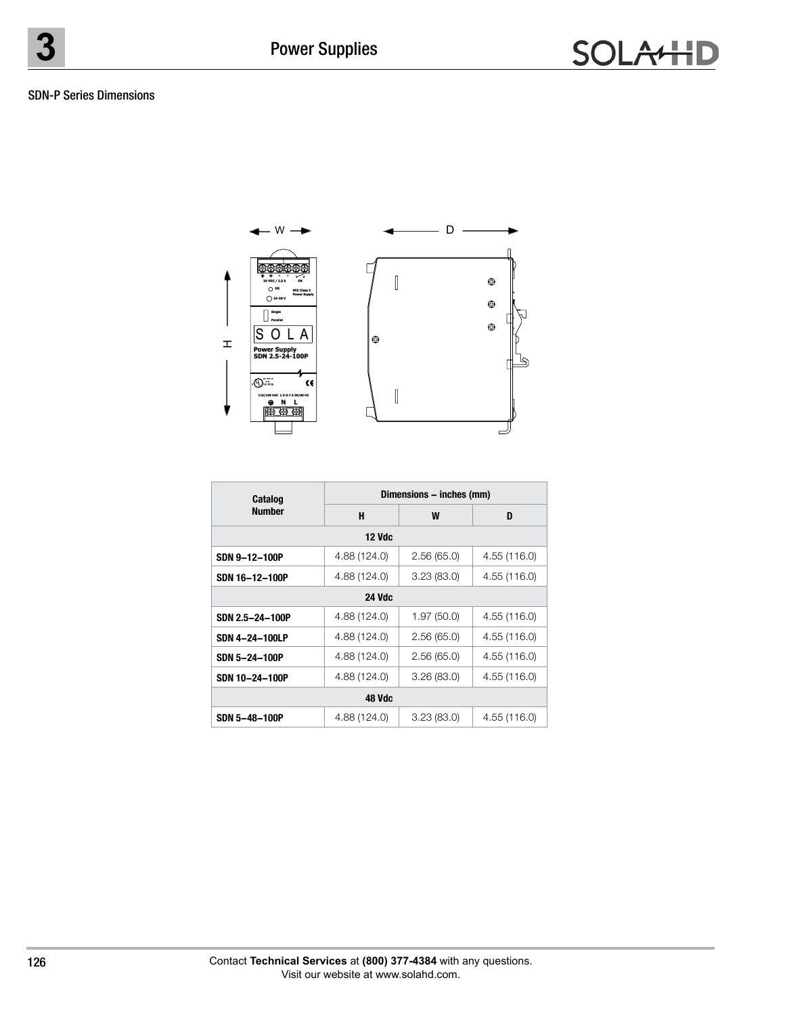#### SDN-P Series Dimensions



| Catalog         | Dimensions – inches (mm) |            |              |  |  |  |  |
|-----------------|--------------------------|------------|--------------|--|--|--|--|
| <b>Number</b>   | H                        | W          | D            |  |  |  |  |
| <b>12 Vdc</b>   |                          |            |              |  |  |  |  |
| SDN 9-12-100P   | 4.88 (124.0)             | 2.56(65.0) | 4.55 (116.0) |  |  |  |  |
| SDN 16-12-100P  | 4.88 (124.0)             | 3.23(83.0) | 4.55 (116.0) |  |  |  |  |
| <b>24 Vdc</b>   |                          |            |              |  |  |  |  |
| SDN 2.5-24-100P | 4.88 (124.0)             | 1.97(50.0) | 4.55 (116.0) |  |  |  |  |
| SDN 4-24-100LP  | 4.88 (124.0)             | 2.56(65.0) | 4.55 (116.0) |  |  |  |  |
| SDN 5-24-100P   | 4.88 (124.0)             | 2.56(65.0) | 4.55 (116.0) |  |  |  |  |
| SDN 10-24-100P  | 4.88 (124.0)             | 3.26(83.0) | 4.55 (116.0) |  |  |  |  |
| 48 Vdc          |                          |            |              |  |  |  |  |
| SDN 5-48-100P   | 4.88 (124.0)             | 3.23(83.0) | 4.55 (116.0) |  |  |  |  |